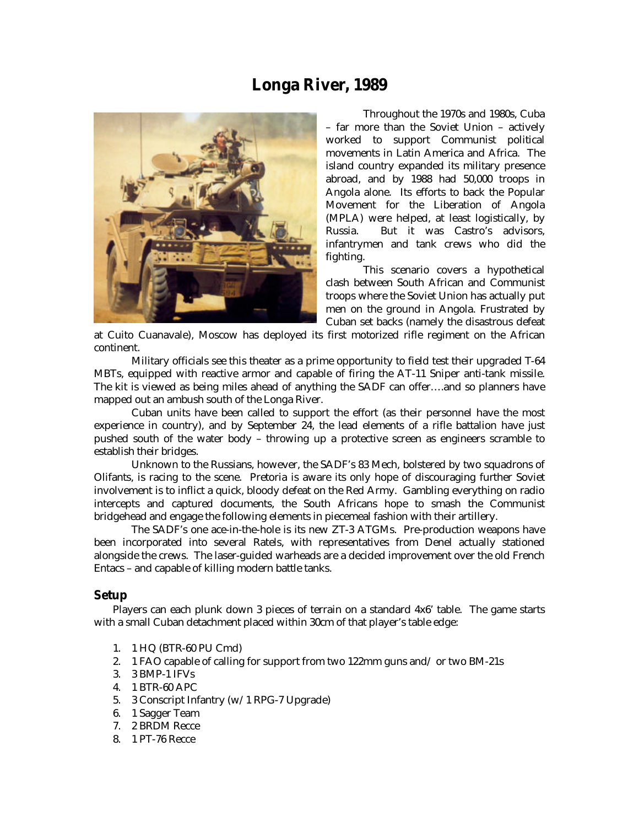## **Longa River, 1989**



Throughout the 1970s and 1980s, Cuba – far more than the Soviet Union – actively worked to support Communist political movements in Latin America and Africa. The island country expanded its military presence abroad, and by 1988 had 50,000 troops in Angola alone. Its efforts to back the Popular Movement for the Liberation of Angola (MPLA) were helped, at least logistically, by Russia. But it was Castro's advisors, infantrymen and tank crews who did the fighting.

This scenario covers a hypothetical clash between South African and Communist troops where the Soviet Union has actually put men on the ground in Angola. Frustrated by Cuban set backs (namely the disastrous defeat

at Cuito Cuanavale), Moscow has deployed its first motorized rifle regiment on the African continent.

Military officials see this theater as a prime opportunity to field test their upgraded T-64 MBTs, equipped with reactive armor and capable of firing the AT-11 Sniper anti-tank missile. The kit is viewed as being miles ahead of anything the SADF can offer….and so planners have mapped out an ambush south of the Longa River.

Cuban units have been called to support the effort (as their personnel have the most experience in country), and by September 24, the lead elements of a rifle battalion have just pushed south of the water body – throwing up a protective screen as engineers scramble to establish their bridges.

Unknown to the Russians, however, the SADF's 83 Mech, bolstered by two squadrons of Olifants, is racing to the scene. Pretoria is aware its only hope of discouraging further Soviet involvement is to inflict a quick, bloody defeat on the Red Army. Gambling everything on radio intercepts and captured documents, the South Africans hope to smash the Communist bridgehead and engage the following elements in piecemeal fashion with their artillery.

The SADF's one ace-in-the-hole is its new ZT-3 ATGMs. Pre-production weapons have been incorporated into several Ratels, with representatives from Denel actually stationed alongside the crews. The laser-guided warheads are a decided improvement over the old French Entacs – and capable of killing modern battle tanks.

## **Setup**

Players can each plunk down 3 pieces of terrain on a standard 4x6' table. The game starts with a small Cuban detachment placed within 30cm of that player's table edge:

- 1. 1 HQ (BTR-60 PU Cmd)
- 2. 1 FAO capable of calling for support from two 122mm guns and/ or two BM-21s
- 3. 3 BMP-1 IFVs
- 4. 1 BTR-60 APC
- 5. 3 Conscript Infantry (w/1 RPG-7 Upgrade)
- 6. 1 Sagger Team
- 7. 2 BRDM Recce
- 8. 1 PT-76 Recce